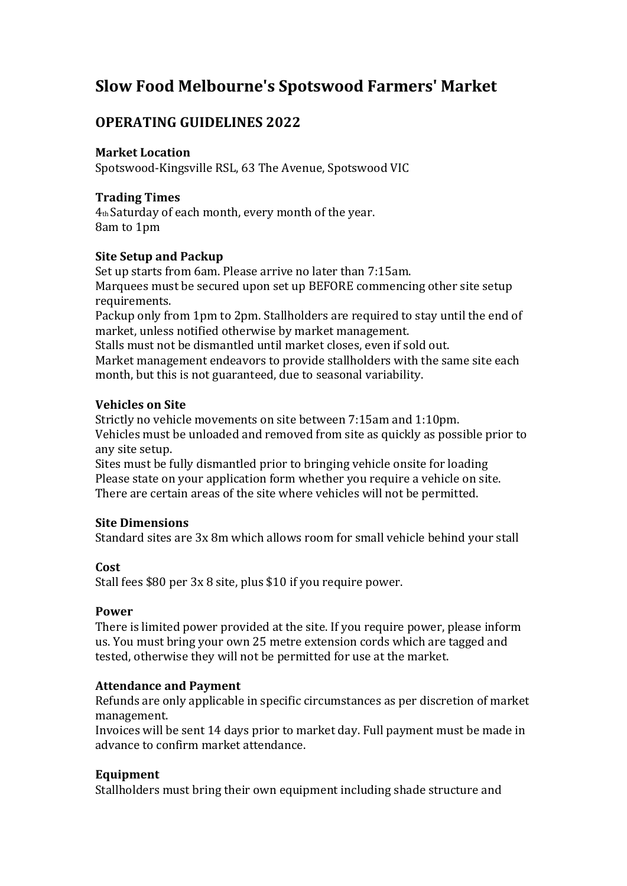# **Slow Food Melbourne's Spotswood Farmers' Market**

## **OPERATING GUIDELINES 2022**

### **Market Location**

Spotswood-Kingsville RSL, 63 The Avenue, Spotswood VIC

## **Trading Times**

4th Saturday of each month, every month of the year. 8am to 1pm

## **Site Setup and Packup**

Set up starts from 6am. Please arrive no later than 7:15am. Marquees must be secured upon set up BEFORE commencing other site setup requirements.

Packup only from 1pm to 2pm. Stallholders are required to stay until the end of market, unless notified otherwise by market management.

Stalls must not be dismantled until market closes, even if sold out. Market management endeavors to provide stallholders with the same site each month, but this is not guaranteed, due to seasonal variability.

## **Vehicles on Site**

Strictly no vehicle movements on site between 7:15am and 1:10pm. Vehicles must be unloaded and removed from site as quickly as possible prior to any site setup.

Sites must be fully dismantled prior to bringing vehicle onsite for loading Please state on your application form whether you require a vehicle on site. There are certain areas of the site where vehicles will not be permitted.

## **Site Dimensions**

Standard sites are 3x 8m which allows room for small vehicle behind your stall

## **Cost**

Stall fees  $$80$  per  $3x$  8 site, plus  $$10$  if you require power.

#### **Power**

There is limited power provided at the site. If you require power, please inform us. You must bring your own 25 metre extension cords which are tagged and tested, otherwise they will not be permitted for use at the market.

## **Attendance and Payment**

Refunds are only applicable in specific circumstances as per discretion of market management.

Invoices will be sent 14 days prior to market day. Full payment must be made in advance to confirm market attendance.

## **Equipment**

Stallholders must bring their own equipment including shade structure and